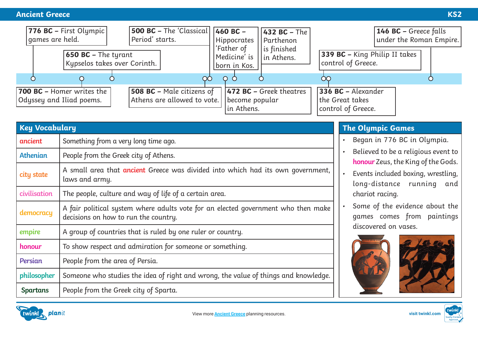

| <b>Key Vocabulary</b> |                                                                                                                           |  |
|-----------------------|---------------------------------------------------------------------------------------------------------------------------|--|
| ancient               | Something from a very long time ago.                                                                                      |  |
| <b>Athenian</b>       | People from the Greek city of Athens.                                                                                     |  |
| city state            | A small area that <b>ancient</b> Greece was divided into which had its own government,<br>laws and army.                  |  |
| civilisation          | The people, culture and way of life of a certain area.                                                                    |  |
| democracy             | A fair political system where adults vote for an elected government who then make<br>decisions on how to run the country. |  |
| empire                | A group of countries that is ruled by one ruler or country.                                                               |  |
| honour                | To show respect and admiration for someone or something.                                                                  |  |
| Persian               | People from the area of Persia.                                                                                           |  |
| philosopher           | Someone who studies the idea of right and wrong, the value of things and knowledge.                                       |  |
| <b>Spartans</b>       | People from the Greek city of Sparta.                                                                                     |  |

### **The Olympic Games**

- Began in 776 BC in Olympia.
- Believed to be a religious event to **honour** Zeus, the King of the Gods.
- Events included boxing, wrestling, long-distance running and chariot racing.
- Some of the evidence about the games comes from paintings discovered on vases.









**visit twinkl.com**